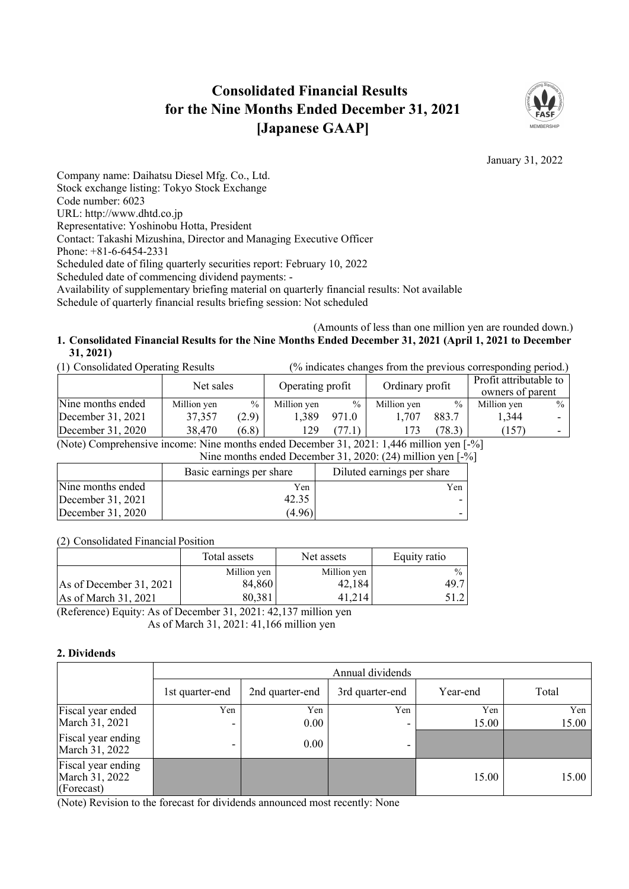# **Consolidated Financial Results for the Nine Months Ended December 31, 2021 [Japanese GAAP]**



January 31, 2022

Company name: Daihatsu Diesel Mfg. Co., Ltd. Stock exchange listing: Tokyo Stock Exchange Code number: 6023 URL: http://www.dhtd.co.jp Representative: Yoshinobu Hotta, President Contact: Takashi Mizushina, Director and Managing Executive Officer Phone: +81-6-6454-2331 Scheduled date of filing quarterly securities report: February 10, 2022 Scheduled date of commencing dividend payments: - Availability of supplementary briefing material on quarterly financial results: Not available Schedule of quarterly financial results briefing session: Not scheduled

### (Amounts of less than one million yen are rounded down.) **1. Consolidated Financial Results for the Nine Months Ended December 31, 2021 (April 1, 2021 to December 31, 2021)**

| (1) Consolidated Operating Results | (% indicates changes from the previous corresponding period.) |               |                                     |               |                                            |        |             |               |
|------------------------------------|---------------------------------------------------------------|---------------|-------------------------------------|---------------|--------------------------------------------|--------|-------------|---------------|
|                                    | Net sales                                                     |               | Ordinary profit<br>Operating profit |               | Profit attributable to<br>owners of parent |        |             |               |
| Nine months ended                  | Million yen                                                   | $\frac{0}{0}$ | Million yen                         | $\frac{0}{0}$ | Million yen                                | $\%$   | Million yen | $\frac{0}{0}$ |
| December $31, 2021$                | 37,357                                                        | (2.9)         | 1.389                               | 971.0         | 1.707                                      | 883.7  | 1.344       |               |
| December $31, 2020$                | 38,470                                                        | (6.8)         | 129                                 | (77.1)        |                                            | (78.3) | (157)       |               |

(Note) Comprehensive income: Nine months ended December 31, 2021: 1,446 million yen [-%]

Nine months ended December 31, 2020: (24) million yen [-%]

|                   | Basic earnings per share | Diluted earnings per share |
|-------------------|--------------------------|----------------------------|
| Nine months ended | Yen                      | Yen                        |
| December 31, 2021 | 42.35                    |                            |
| December 31, 2020 | (4.96)                   |                            |

(2) Consolidated Financial Position

|                           | Total assets | Net assets  | Equity ratio  |
|---------------------------|--------------|-------------|---------------|
|                           | Million yen  | Million yen | $\frac{0}{0}$ |
| As of December $31, 2021$ | 84,860       | 42,184      | 49.7          |
| As of March 31, 2021      | 80,381       | 41.214      |               |

(Reference) Equity: As of December 31, 2021: 42,137 million yen As of March 31, 2021: 41,166 million yen

# **2. Dividends**

|                                                    |                 |                 | Annual dividends |          |       |
|----------------------------------------------------|-----------------|-----------------|------------------|----------|-------|
|                                                    | 1st quarter-end | 2nd quarter-end | 3rd quarter-end  | Year-end | Total |
| Fiscal year ended                                  | Yen             | Yen             | Yen              | Yen      | Yen   |
| March 31, 2021                                     |                 | $0.00\,$        |                  | 15.00    | 15.00 |
| Fiscal year ending<br>March 31, 2022               |                 | 0.00            |                  |          |       |
| Fiscal year ending<br>March 31, 2022<br>(Forecast) |                 |                 |                  | 15.00    | 15.00 |

(Note) Revision to the forecast for dividends announced most recently: None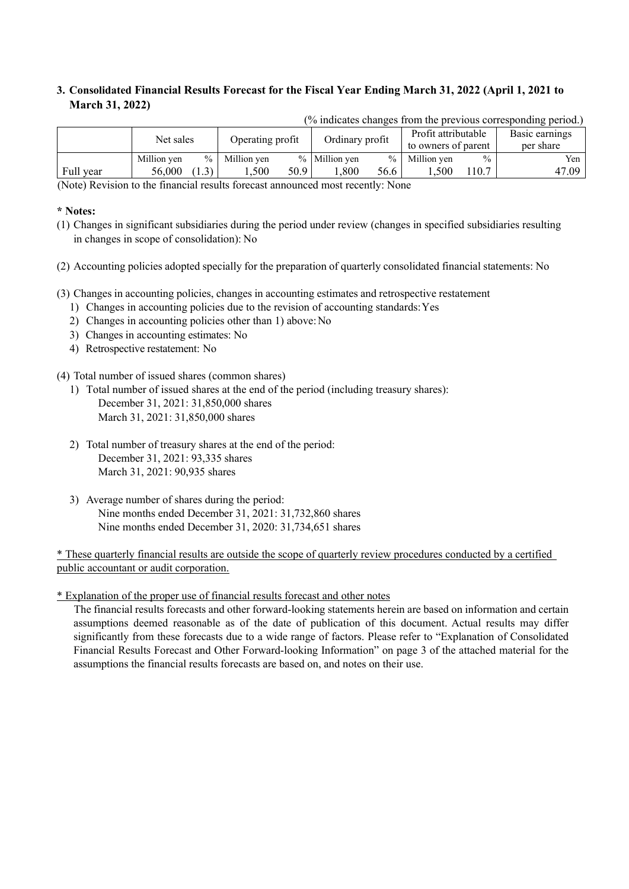# **3. Consolidated Financial Results Forecast for the Fiscal Year Ending March 31, 2022 (April 1, 2021 to March 31, 2022)**

|             | $\alpha$ indicates changes from the previous corresponding period. |               |                  |      |                 |               |                                            |               |                             |
|-------------|--------------------------------------------------------------------|---------------|------------------|------|-----------------|---------------|--------------------------------------------|---------------|-----------------------------|
|             | Net sales                                                          |               | Operating profit |      | Ordinary profit |               | Profit attributable<br>to owners of parent |               | Basic earnings<br>per share |
|             | Million ven                                                        | $\frac{0}{0}$ | Million ven      |      | % Million yen   | $\frac{0}{0}$ | Million ven                                | $\frac{0}{0}$ | Yen                         |
| Full year   | 56,000                                                             | 1.3)          | .500             | 50.9 | .800            | 56.6          | .500                                       | 10.7          | 47.09                       |
| _ _ _ _ _ _ | $\sim$                                                             |               |                  |      |                 | __            |                                            |               |                             |

 $\frac{1}{2}$  (% indicates changes from the previous corresponding period.)

(Note) Revision to the financial results forecast announced most recently: None

### **\* Notes:**

(1) Changes in significant subsidiaries during the period under review (changes in specified subsidiaries resulting in changes in scope of consolidation): No

(2) Accounting policies adopted specially for the preparation of quarterly consolidated financial statements: No

(3) Changes in accounting policies, changes in accounting estimates and retrospective restatement

- 1) Changes in accounting policies due to the revision of accounting standards:Yes
- 2) Changes in accounting policies other than 1) above:No
- 3) Changes in accounting estimates: No
- 4) Retrospective restatement: No

(4) Total number of issued shares (common shares)

- 1) Total number of issued shares at the end of the period (including treasury shares): December 31, 2021: 31,850,000 shares March 31, 2021: 31,850,000 shares
- 2) Total number of treasury shares at the end of the period: December 31, 2021: 93,335 shares March 31, 2021: 90,935 shares
- 3) Average number of shares during the period: Nine months ended December 31, 2021: 31,732,860 shares Nine months ended December 31, 2020: 31,734,651 shares

\* These quarterly financial results are outside the scope of quarterly review procedures conducted by a certified public accountant or audit corporation.

\* Explanation of the proper use of financial results forecast and other notes

The financial results forecasts and other forward-looking statements herein are based on information and certain assumptions deemed reasonable as of the date of publication of this document. Actual results may differ significantly from these forecasts due to a wide range of factors. Please refer to "Explanation of Consolidated Financial Results Forecast and Other Forward-looking Information" on page 3 of the attached material for the assumptions the financial results forecasts are based on, and notes on their use.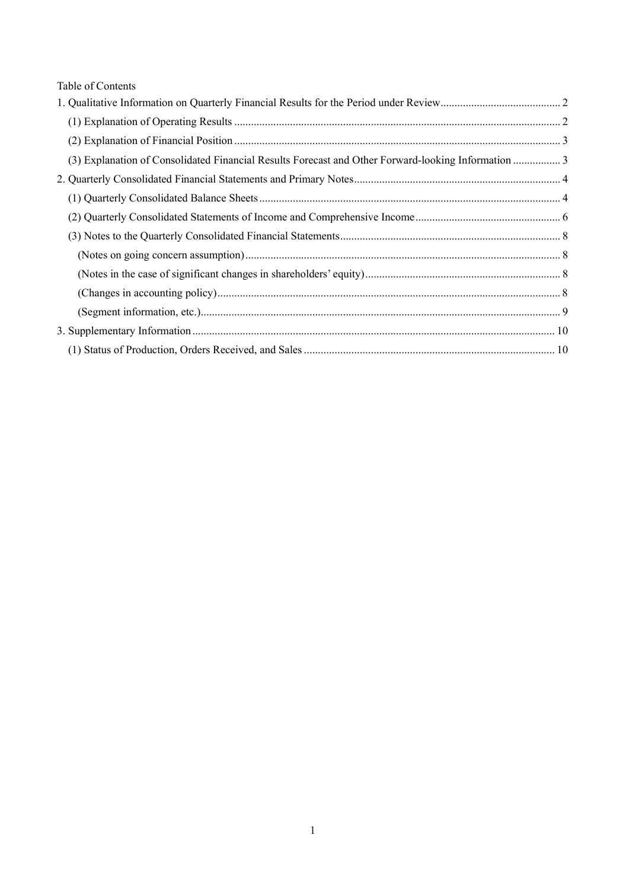| Table of Contents |  |
|-------------------|--|
|-------------------|--|

| (3) Explanation of Consolidated Financial Results Forecast and Other Forward-looking Information  3 |  |
|-----------------------------------------------------------------------------------------------------|--|
|                                                                                                     |  |
|                                                                                                     |  |
|                                                                                                     |  |
|                                                                                                     |  |
|                                                                                                     |  |
|                                                                                                     |  |
|                                                                                                     |  |
|                                                                                                     |  |
|                                                                                                     |  |
|                                                                                                     |  |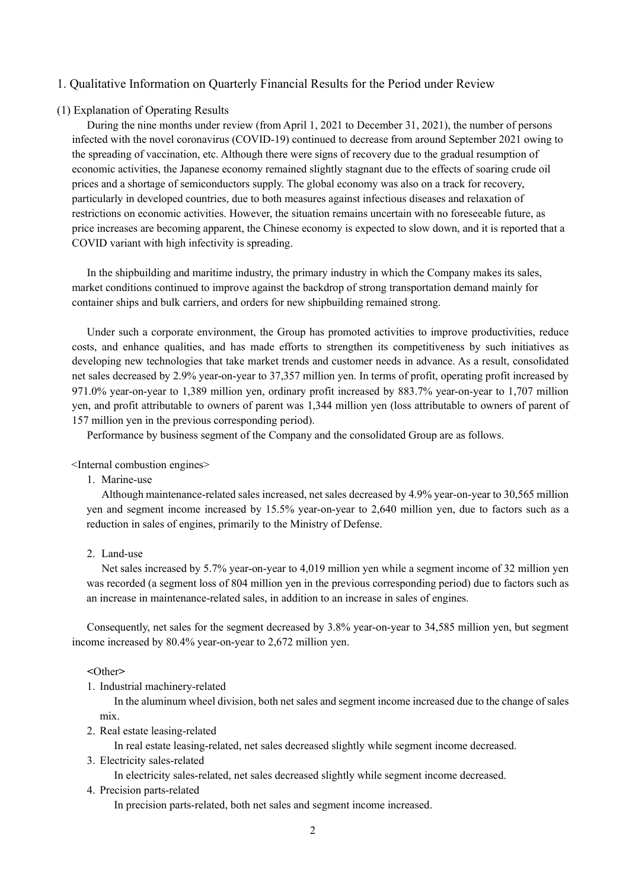### 1. Qualitative Information on Quarterly Financial Results for the Period under Review

### (1) Explanation of Operating Results

During the nine months under review (from April 1, 2021 to December 31, 2021), the number of persons infected with the novel coronavirus (COVID-19) continued to decrease from around September 2021 owing to the spreading of vaccination, etc. Although there were signs of recovery due to the gradual resumption of economic activities, the Japanese economy remained slightly stagnant due to the effects of soaring crude oil prices and a shortage of semiconductors supply. The global economy was also on a track for recovery, particularly in developed countries, due to both measures against infectious diseases and relaxation of restrictions on economic activities. However, the situation remains uncertain with no foreseeable future, as price increases are becoming apparent, the Chinese economy is expected to slow down, and it is reported that a COVID variant with high infectivity is spreading.

In the shipbuilding and maritime industry, the primary industry in which the Company makes its sales, market conditions continued to improve against the backdrop of strong transportation demand mainly for container ships and bulk carriers, and orders for new shipbuilding remained strong.

Under such a corporate environment, the Group has promoted activities to improve productivities, reduce costs, and enhance qualities, and has made efforts to strengthen its competitiveness by such initiatives as developing new technologies that take market trends and customer needs in advance. As a result, consolidated net sales decreased by 2.9% year-on-year to 37,357 million yen. In terms of profit, operating profit increased by 971.0% year-on-year to 1,389 million yen, ordinary profit increased by 883.7% year-on-year to 1,707 million yen, and profit attributable to owners of parent was 1,344 million yen (loss attributable to owners of parent of 157 million yen in the previous corresponding period).

Performance by business segment of the Company and the consolidated Group are as follows.

<Internal combustion engines>

1. Marine-use

Although maintenance-related sales increased, net sales decreased by 4.9% year-on-year to 30,565 million yen and segment income increased by 15.5% year-on-year to 2,640 million yen, due to factors such as a reduction in sales of engines, primarily to the Ministry of Defense.

### 2. Land-use

Net sales increased by 5.7% year-on-year to 4,019 million yen while a segment income of 32 million yen was recorded (a segment loss of 804 million yen in the previous corresponding period) due to factors such as an increase in maintenance-related sales, in addition to an increase in sales of engines.

Consequently, net sales for the segment decreased by 3.8% year-on-year to 34,585 million yen, but segment income increased by 80.4% year-on-year to 2,672 million yen.

#### **<**Other**>**

1. Industrial machinery-related

In the aluminum wheel division, both net sales and segment income increased due to the change of sales mix.

2. Real estate leasing-related

In real estate leasing-related, net sales decreased slightly while segment income decreased.

3. Electricity sales-related

In electricity sales-related, net sales decreased slightly while segment income decreased.

4. Precision parts-related

In precision parts-related, both net sales and segment income increased.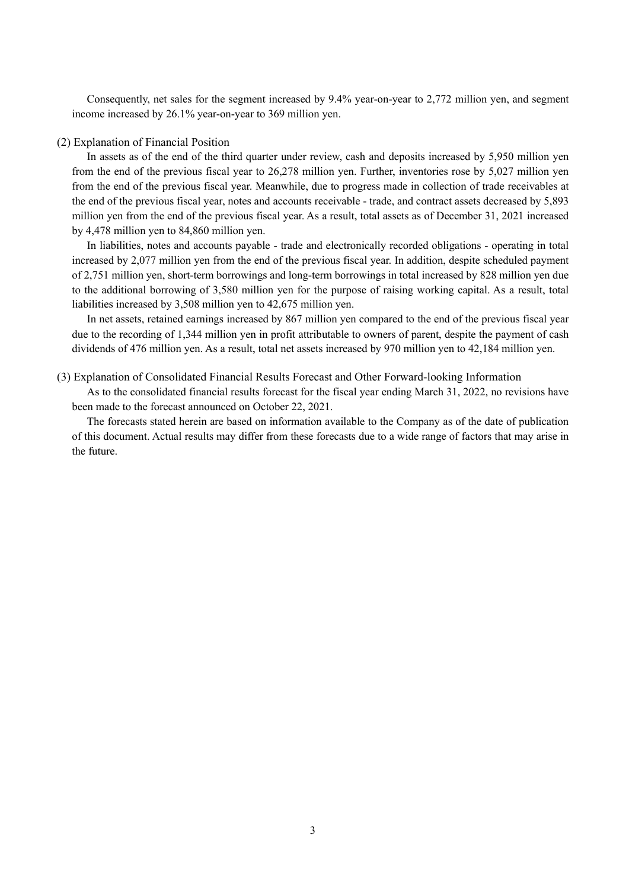Consequently, net sales for the segment increased by 9.4% year-on-year to 2,772 million yen, and segment income increased by 26.1% year-on-year to 369 million yen.

#### (2) Explanation of Financial Position

In assets as of the end of the third quarter under review, cash and deposits increased by 5,950 million yen from the end of the previous fiscal year to 26,278 million yen. Further, inventories rose by 5,027 million yen from the end of the previous fiscal year. Meanwhile, due to progress made in collection of trade receivables at the end of the previous fiscal year, notes and accounts receivable - trade, and contract assets decreased by 5,893 million yen from the end of the previous fiscal year. As a result, total assets as of December 31, 2021 increased by 4,478 million yen to 84,860 million yen.

In liabilities, notes and accounts payable - trade and electronically recorded obligations - operating in total increased by 2,077 million yen from the end of the previous fiscal year. In addition, despite scheduled payment of 2,751 million yen, short-term borrowings and long-term borrowings in total increased by 828 million yen due to the additional borrowing of 3,580 million yen for the purpose of raising working capital. As a result, total liabilities increased by 3,508 million yen to 42,675 million yen.

In net assets, retained earnings increased by 867 million yen compared to the end of the previous fiscal year due to the recording of 1,344 million yen in profit attributable to owners of parent, despite the payment of cash dividends of 476 million yen. As a result, total net assets increased by 970 million yen to 42,184 million yen.

#### (3) Explanation of Consolidated Financial Results Forecast and Other Forward-looking Information

As to the consolidated financial results forecast for the fiscal year ending March 31, 2022, no revisions have been made to the forecast announced on October 22, 2021.

The forecasts stated herein are based on information available to the Company as of the date of publication of this document. Actual results may differ from these forecasts due to a wide range of factors that may arise in the future.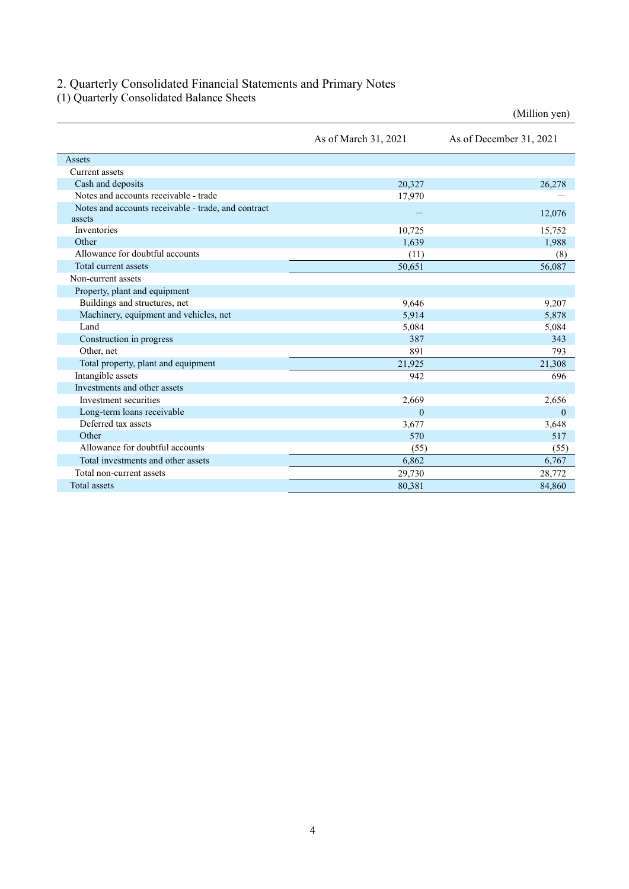## 2. Quarterly Consolidated Financial Statements and Primary Notes

(1) Quarterly Consolidated Balance Sheets

|                                                     |                      | (Million yen)           |
|-----------------------------------------------------|----------------------|-------------------------|
|                                                     | As of March 31, 2021 | As of December 31, 2021 |
| Assets                                              |                      |                         |
| Current assets                                      |                      |                         |
| Cash and deposits                                   | 20,327               | 26,278                  |
| Notes and accounts receivable - trade               | 17,970               |                         |
| Notes and accounts receivable - trade, and contract |                      | 12,076                  |
| assets                                              |                      |                         |
| Inventories                                         | 10,725               | 15,752                  |
| Other                                               | 1,639                | 1,988                   |
| Allowance for doubtful accounts                     | (11)                 | (8)                     |
| Total current assets                                | 50,651               | 56,087                  |
| Non-current assets                                  |                      |                         |
| Property, plant and equipment                       |                      |                         |
| Buildings and structures, net                       | 9,646                | 9,207                   |
| Machinery, equipment and vehicles, net              | 5,914                | 5,878                   |
| Land                                                | 5,084                | 5,084                   |
| Construction in progress                            | 387                  | 343                     |
| Other, net                                          | 891                  | 793                     |
| Total property, plant and equipment                 | 21,925               | 21,308                  |
| Intangible assets                                   | 942                  | 696                     |
| Investments and other assets                        |                      |                         |
| Investment securities                               | 2,669                | 2,656                   |
| Long-term loans receivable                          | $\theta$             | $\theta$                |
| Deferred tax assets                                 | 3,677                | 3,648                   |
| Other                                               | 570                  | 517                     |
| Allowance for doubtful accounts                     | (55)                 | (55)                    |
| Total investments and other assets                  | 6,862                | 6,767                   |
| Total non-current assets                            | 29,730               | 28,772                  |
| <b>Total</b> assets                                 | 80,381               | 84,860                  |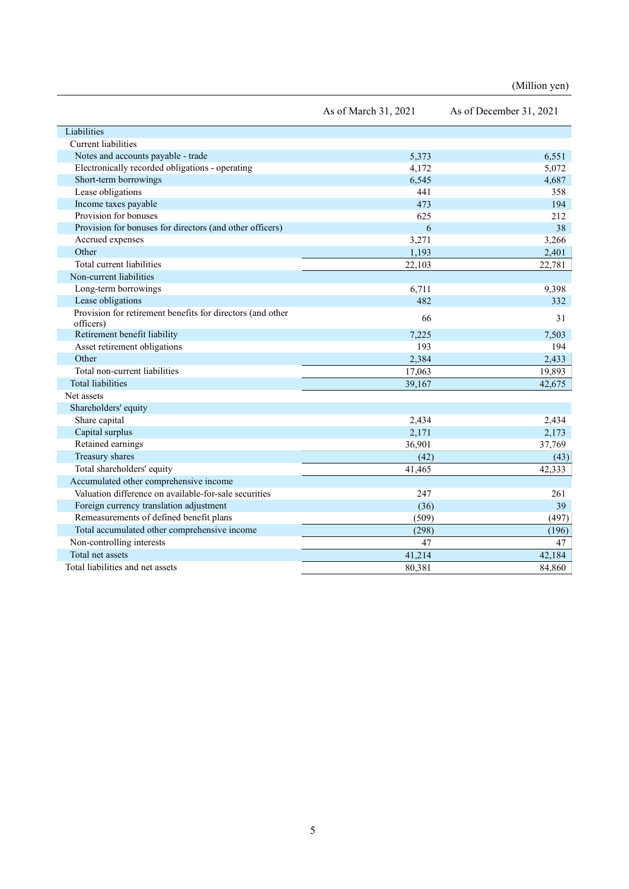(Million yen)

|                                                                         | As of March 31, 2021 | As of December 31, 2021 |
|-------------------------------------------------------------------------|----------------------|-------------------------|
| Liabilities                                                             |                      |                         |
| <b>Current liabilities</b>                                              |                      |                         |
| Notes and accounts payable - trade                                      | 5,373                | 6,551                   |
| Electronically recorded obligations - operating                         | 4,172                | 5,072                   |
| Short-term borrowings                                                   | 6,545                | 4.687                   |
| Lease obligations                                                       | 441                  | 358                     |
| Income taxes payable                                                    | 473                  | 194                     |
| Provision for bonuses                                                   | 625                  | 212                     |
| Provision for bonuses for directors (and other officers)                | 6                    | 38                      |
| Accrued expenses                                                        | 3,271                | 3,266                   |
| Other                                                                   | 1,193                | 2,401                   |
| Total current liabilities                                               | 22,103               | 22,781                  |
| Non-current liabilities                                                 |                      |                         |
| Long-term borrowings                                                    | 6,711                | 9,398                   |
| Lease obligations                                                       | 482                  | 332                     |
| Provision for retirement benefits for directors (and other<br>officers) | 66                   | 31                      |
| Retirement benefit liability                                            | 7.225                | 7.503                   |
| Asset retirement obligations                                            | 193                  | 194                     |
| Other                                                                   | 2,384                | 2,433                   |
| Total non-current liabilities                                           | 17,063               | 19,893                  |
| <b>Total liabilities</b>                                                | 39,167               | 42,675                  |
| Net assets                                                              |                      |                         |
| Shareholders' equity                                                    |                      |                         |
| Share capital                                                           | 2,434                | 2,434                   |
| Capital surplus                                                         | 2,171                | 2,173                   |
| Retained earnings                                                       | 36,901               | 37,769                  |
| Treasury shares                                                         | (42)                 | (43)                    |
| Total shareholders' equity                                              | 41,465               | 42,333                  |
| Accumulated other comprehensive income                                  |                      |                         |
| Valuation difference on available-for-sale securities                   | 247                  | 261                     |
| Foreign currency translation adjustment                                 | (36)                 | 39                      |
| Remeasurements of defined benefit plans                                 | (509)                | (497)                   |
| Total accumulated other comprehensive income                            | (298)                | (196)                   |
| Non-controlling interests                                               | 47                   | 47                      |
| Total net assets                                                        | 41,214               | 42,184                  |
| Total liabilities and net assets                                        | 80,381               | 84,860                  |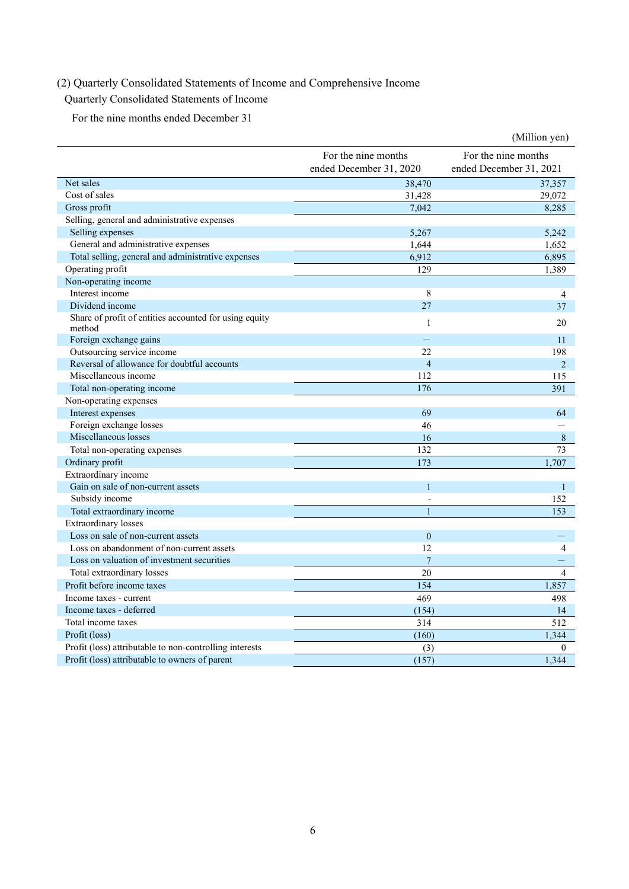# (2) Quarterly Consolidated Statements of Income and Comprehensive Income

# Quarterly Consolidated Statements of Income

For the nine months ended December 31

|                                                                  |                                                | (Million yen)                                  |
|------------------------------------------------------------------|------------------------------------------------|------------------------------------------------|
|                                                                  | For the nine months<br>ended December 31, 2020 | For the nine months<br>ended December 31, 2021 |
| Net sales                                                        | 38,470                                         | 37,357                                         |
| Cost of sales                                                    | 31,428                                         | 29,072                                         |
| Gross profit                                                     | 7.042                                          | 8.285                                          |
| Selling, general and administrative expenses                     |                                                |                                                |
| Selling expenses                                                 | 5,267                                          | 5,242                                          |
| General and administrative expenses                              | 1,644                                          | 1,652                                          |
| Total selling, general and administrative expenses               | 6,912                                          | 6,895                                          |
| Operating profit                                                 | 129                                            | 1,389                                          |
| Non-operating income                                             |                                                |                                                |
| Interest income                                                  | 8                                              | $\overline{4}$                                 |
| Dividend income                                                  | 27                                             | 37                                             |
| Share of profit of entities accounted for using equity<br>method | $\mathbf{1}$                                   | 20                                             |
| Foreign exchange gains                                           |                                                | 11                                             |
| Outsourcing service income                                       | 22.                                            | 198                                            |
| Reversal of allowance for doubtful accounts                      | $\overline{4}$                                 | $\overline{2}$                                 |
| Miscellaneous income                                             | 112                                            | 115                                            |
| Total non-operating income                                       | 176                                            | 391                                            |
| Non-operating expenses                                           |                                                |                                                |
| Interest expenses                                                | 69                                             | 64                                             |
| Foreign exchange losses                                          | 46                                             |                                                |
| Miscellaneous losses                                             | 16                                             | 8                                              |
| Total non-operating expenses                                     | 132                                            | 73                                             |
| Ordinary profit                                                  | 173                                            | 1,707                                          |
| Extraordinary income                                             |                                                |                                                |
| Gain on sale of non-current assets                               | $\mathbf{1}$                                   | $\mathbf{1}$                                   |
| Subsidy income                                                   | L,                                             | 152                                            |
| Total extraordinary income                                       | $\overline{1}$                                 | 153                                            |
| <b>Extraordinary</b> losses                                      |                                                |                                                |
| Loss on sale of non-current assets                               | $\overline{0}$                                 |                                                |
| Loss on abandonment of non-current assets                        | 12                                             | $\overline{4}$                                 |
| Loss on valuation of investment securities                       | $\overline{7}$                                 |                                                |
| Total extraordinary losses                                       | 20                                             | $\overline{4}$                                 |
| Profit before income taxes                                       | 154                                            | 1,857                                          |
| Income taxes - current                                           | 469                                            | 498                                            |
| Income taxes - deferred                                          | (154)                                          | 14                                             |
| Total income taxes                                               | 314                                            | 512                                            |
| Profit (loss)                                                    | (160)                                          | 1,344                                          |
| Profit (loss) attributable to non-controlling interests          | (3)                                            | $\mathbf{0}$                                   |
| Profit (loss) attributable to owners of parent                   | (157)                                          | 1,344                                          |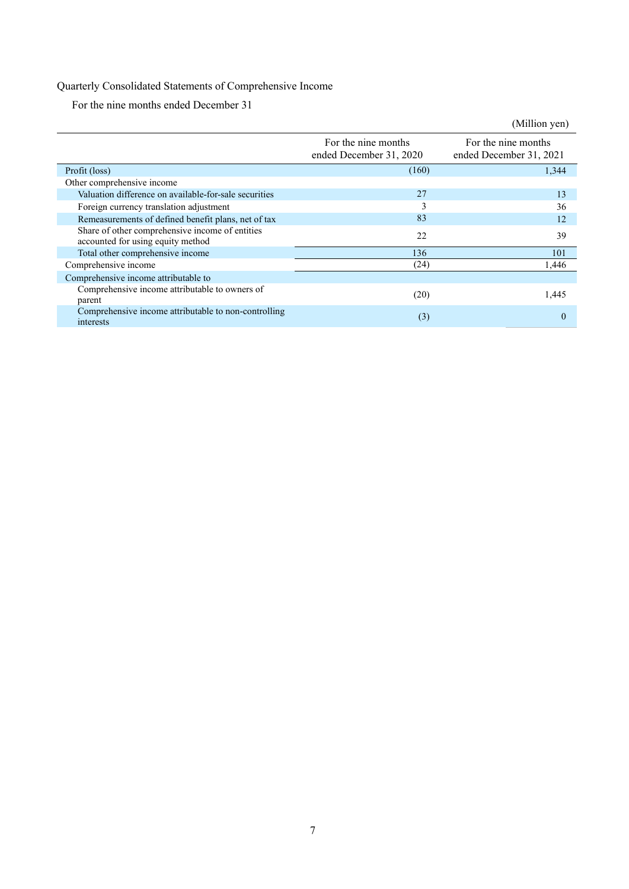# Quarterly Consolidated Statements of Comprehensive Income

For the nine months ended December 31

|                                                                                      |                                                | (Million yen)                                  |
|--------------------------------------------------------------------------------------|------------------------------------------------|------------------------------------------------|
|                                                                                      | For the nine months<br>ended December 31, 2020 | For the nine months<br>ended December 31, 2021 |
| Profit (loss)                                                                        | (160)                                          | 1,344                                          |
| Other comprehensive income                                                           |                                                |                                                |
| Valuation difference on available-for-sale securities                                | 27                                             | 13                                             |
| Foreign currency translation adjustment                                              | 3                                              | 36                                             |
| Remeasurements of defined benefit plans, net of tax                                  | 83                                             | 12                                             |
| Share of other comprehensive income of entities<br>accounted for using equity method | 22                                             | 39                                             |
| Total other comprehensive income                                                     | 136                                            | 101                                            |
| Comprehensive income                                                                 | (24)                                           | 1,446                                          |
| Comprehensive income attributable to                                                 |                                                |                                                |
| Comprehensive income attributable to owners of<br>parent                             | (20)                                           | 1,445                                          |
| Comprehensive income attributable to non-controlling<br>interests                    | (3)                                            | $\Omega$                                       |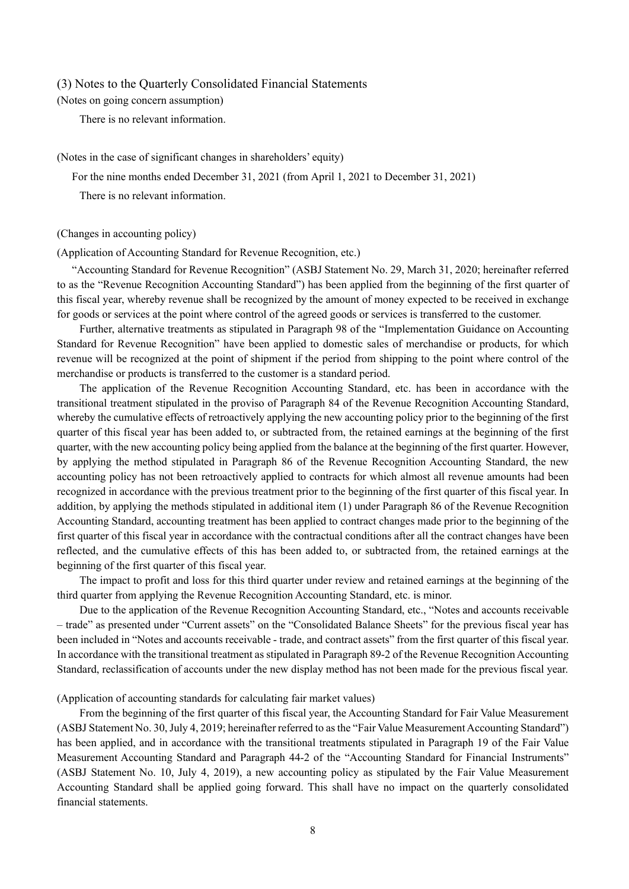### (3) Notes to the Quarterly Consolidated Financial Statements

(Notes on going concern assumption)

There is no relevant information.

### (Notes in the case of significant changes in shareholders' equity)

For the nine months ended December 31, 2021 (from April 1, 2021 to December 31, 2021)

There is no relevant information.

#### (Changes in accounting policy)

(Application of Accounting Standard for Revenue Recognition, etc.)

"Accounting Standard for Revenue Recognition" (ASBJ Statement No. 29, March 31, 2020; hereinafter referred to as the "Revenue Recognition Accounting Standard") has been applied from the beginning of the first quarter of this fiscal year, whereby revenue shall be recognized by the amount of money expected to be received in exchange for goods or services at the point where control of the agreed goods or services is transferred to the customer.

Further, alternative treatments as stipulated in Paragraph 98 of the "Implementation Guidance on Accounting Standard for Revenue Recognition" have been applied to domestic sales of merchandise or products, for which revenue will be recognized at the point of shipment if the period from shipping to the point where control of the merchandise or products is transferred to the customer is a standard period.

The application of the Revenue Recognition Accounting Standard, etc. has been in accordance with the transitional treatment stipulated in the proviso of Paragraph 84 of the Revenue Recognition Accounting Standard, whereby the cumulative effects of retroactively applying the new accounting policy prior to the beginning of the first quarter of this fiscal year has been added to, or subtracted from, the retained earnings at the beginning of the first quarter, with the new accounting policy being applied from the balance at the beginning of the first quarter. However, by applying the method stipulated in Paragraph 86 of the Revenue Recognition Accounting Standard, the new accounting policy has not been retroactively applied to contracts for which almost all revenue amounts had been recognized in accordance with the previous treatment prior to the beginning of the first quarter of this fiscal year. In addition, by applying the methods stipulated in additional item (1) under Paragraph 86 of the Revenue Recognition Accounting Standard, accounting treatment has been applied to contract changes made prior to the beginning of the first quarter of this fiscal year in accordance with the contractual conditions after all the contract changes have been reflected, and the cumulative effects of this has been added to, or subtracted from, the retained earnings at the beginning of the first quarter of this fiscal year.

The impact to profit and loss for this third quarter under review and retained earnings at the beginning of the third quarter from applying the Revenue Recognition Accounting Standard, etc. is minor.

Due to the application of the Revenue Recognition Accounting Standard, etc., "Notes and accounts receivable – trade" as presented under "Current assets" on the "Consolidated Balance Sheets" for the previous fiscal year has been included in "Notes and accounts receivable - trade, and contract assets" from the first quarter of this fiscal year. In accordance with the transitional treatment as stipulated in Paragraph 89-2 of the Revenue Recognition Accounting Standard, reclassification of accounts under the new display method has not been made for the previous fiscal year.

(Application of accounting standards for calculating fair market values)

From the beginning of the first quarter of this fiscal year, the Accounting Standard for Fair Value Measurement (ASBJ Statement No. 30, July 4, 2019; hereinafter referred to as the "Fair Value Measurement Accounting Standard") has been applied, and in accordance with the transitional treatments stipulated in Paragraph 19 of the Fair Value Measurement Accounting Standard and Paragraph 44-2 of the "Accounting Standard for Financial Instruments" (ASBJ Statement No. 10, July 4, 2019), a new accounting policy as stipulated by the Fair Value Measurement Accounting Standard shall be applied going forward. This shall have no impact on the quarterly consolidated financial statements.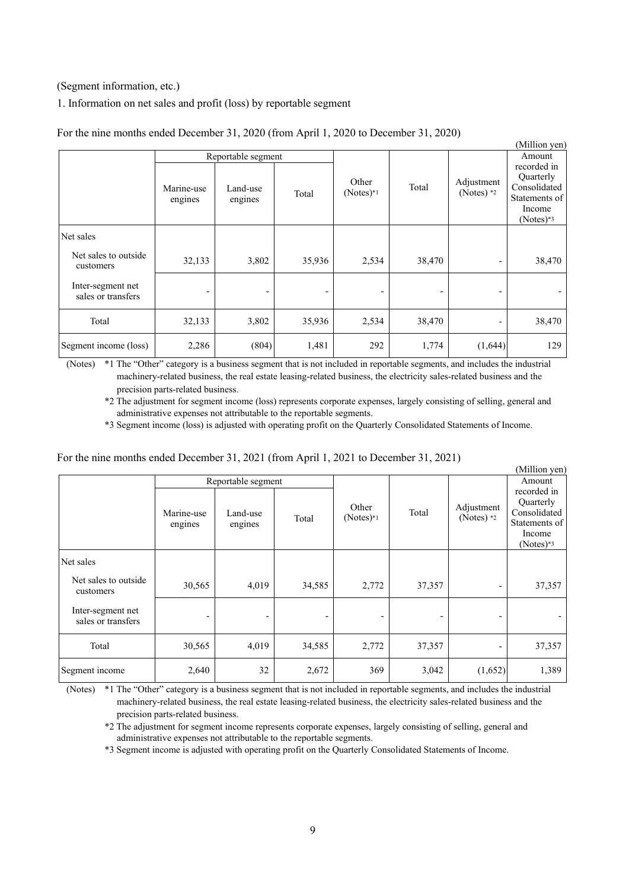### (Segment information, etc.)

### 1. Information on net sales and profit (loss) by reportable segment

|                                         |                          |                     |                |                          |        |                            | (Million yen)                                                                      |
|-----------------------------------------|--------------------------|---------------------|----------------|--------------------------|--------|----------------------------|------------------------------------------------------------------------------------|
|                                         |                          | Reportable segment  |                |                          |        |                            | Amount                                                                             |
|                                         | Marine-use<br>engines    | Land-use<br>engines | Total          | Other<br>$(Notes)*1$     | Total  | Adjustment<br>(Notes) $*2$ | recorded in<br>Quarterly<br>Consolidated<br>Statements of<br>Income<br>$(Notes)*3$ |
| Net sales                               |                          |                     |                |                          |        |                            |                                                                                    |
| Net sales to outside<br>customers       | 32,133                   | 3,802               | 35,936         | 2,534                    | 38,470 |                            | 38,470                                                                             |
| Inter-segment net<br>sales or transfers | $\overline{\phantom{0}}$ | -                   | $\overline{a}$ | $\overline{\phantom{0}}$ | -      |                            |                                                                                    |
| Total                                   | 32,133                   | 3,802               | 35,936         | 2,534                    | 38,470 |                            | 38,470                                                                             |
| Segment income (loss)                   | 2,286                    | (804)               | 1,481          | 292                      | 1,774  | (1,644)                    | 129                                                                                |

For the nine months ended December 31, 2020 (from April 1, 2020 to December 31, 2020)

(Notes) \*1 The "Other" category is a business segment that is not included in reportable segments, and includes the industrial machinery-related business, the real estate leasing-related business, the electricity sales-related business and the precision parts-related business.

\*2 The adjustment for segment income (loss) represents corporate expenses, largely consisting of selling, general and administrative expenses not attributable to the reportable segments.

\*3 Segment income (loss) is adjusted with operating profit on the Quarterly Consolidated Statements of Income.

### For the nine months ended December 31, 2021 (from April 1, 2021 to December 31, 2021)

|                                         |                       |                     |        |                      |        |                            | (Million yen)                                                                      |
|-----------------------------------------|-----------------------|---------------------|--------|----------------------|--------|----------------------------|------------------------------------------------------------------------------------|
|                                         | Reportable segment    |                     |        |                      |        |                            | Amount                                                                             |
|                                         | Marine-use<br>engines | Land-use<br>engines | Total  | Other<br>$(Notes)*1$ | Total  | Adjustment<br>(Notes) $*2$ | recorded in<br>Quarterly<br>Consolidated<br>Statements of<br>Income<br>$(Notes)*3$ |
| Net sales                               |                       |                     |        |                      |        |                            |                                                                                    |
| Net sales to outside<br>customers       | 30,565                | 4,019               | 34,585 | 2,772                | 37,357 | -                          | 37,357                                                                             |
| Inter-segment net<br>sales or transfers |                       |                     |        |                      |        |                            |                                                                                    |
| Total                                   | 30,565                | 4,019               | 34,585 | 2,772                | 37,357 | -                          | 37,357                                                                             |
| Segment income                          | 2,640                 | 32                  | 2,672  | 369                  | 3,042  | (1,652)                    | 1,389                                                                              |

(Notes) \*1 The "Other" category is a business segment that is not included in reportable segments, and includes the industrial machinery-related business, the real estate leasing-related business, the electricity sales-related business and the precision parts-related business.

\*2 The adjustment for segment income represents corporate expenses, largely consisting of selling, general and administrative expenses not attributable to the reportable segments.

\*3 Segment income is adjusted with operating profit on the Quarterly Consolidated Statements of Income.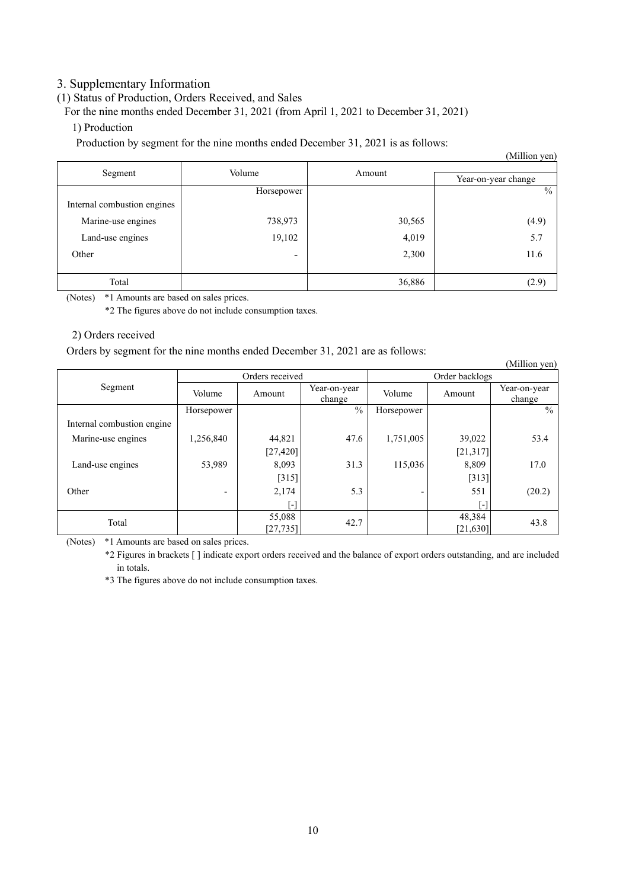# 3. Supplementary Information

# (1) Status of Production, Orders Received, and Sales

For the nine months ended December 31, 2021 (from April 1, 2021 to December 31, 2021)

## 1) Production

Production by segment for the nine months ended December 31, 2021 is as follows:

|                             |                          |        | (Million yen)       |  |
|-----------------------------|--------------------------|--------|---------------------|--|
| Segment                     | Volume                   | Amount |                     |  |
|                             |                          |        | Year-on-year change |  |
|                             | Horsepower               |        | $\frac{0}{0}$       |  |
| Internal combustion engines |                          |        |                     |  |
| Marine-use engines          | 738,973                  | 30,565 | (4.9)               |  |
| Land-use engines            | 19,102                   | 4,019  | 5.7                 |  |
| Other                       | $\overline{\phantom{0}}$ | 2,300  | 11.6                |  |
|                             |                          |        |                     |  |
| Total                       |                          | 36,886 | (2.9)               |  |

(Notes) \*1 Amounts are based on sales prices.

\*2 The figures above do not include consumption taxes.

### 2) Orders received

Orders by segment for the nine months ended December 31, 2021 are as follows:

|                            |                          |           |                        |                |           | (Million yen)          |
|----------------------------|--------------------------|-----------|------------------------|----------------|-----------|------------------------|
|                            | Orders received          |           |                        | Order backlogs |           |                        |
| Segment                    | Volume                   | Amount    | Year-on-year<br>change | Volume         | Amount    | Year-on-year<br>change |
|                            | Horsepower               |           | $\frac{0}{0}$          | Horsepower     |           | $\frac{0}{0}$          |
| Internal combustion engine |                          |           |                        |                |           |                        |
| Marine-use engines         | 1,256,840                | 44,821    | 47.6                   | 1,751,005      | 39,022    | 53.4                   |
|                            |                          | [27, 420] |                        |                | [21, 317] |                        |
| Land-use engines           | 53,989                   | 8,093     | 31.3                   | 115,036        | 8,809     | 17.0                   |
|                            |                          | [315]     |                        |                | $[313]$   |                        |
| Other                      | $\overline{\phantom{0}}$ | 2,174     | 5.3                    | ٠              | 551       | (20.2)                 |
|                            |                          | [-]       |                        |                | [-]       |                        |
| Total                      |                          | 55,088    | 42.7                   |                | 48,384    | 43.8                   |
|                            |                          | [27, 735] |                        |                | [21, 630] |                        |

(Notes) \*1 Amounts are based on sales prices.

\*2 Figures in brackets [ ] indicate export orders received and the balance of export orders outstanding, and are included in totals.

\*3 The figures above do not include consumption taxes.